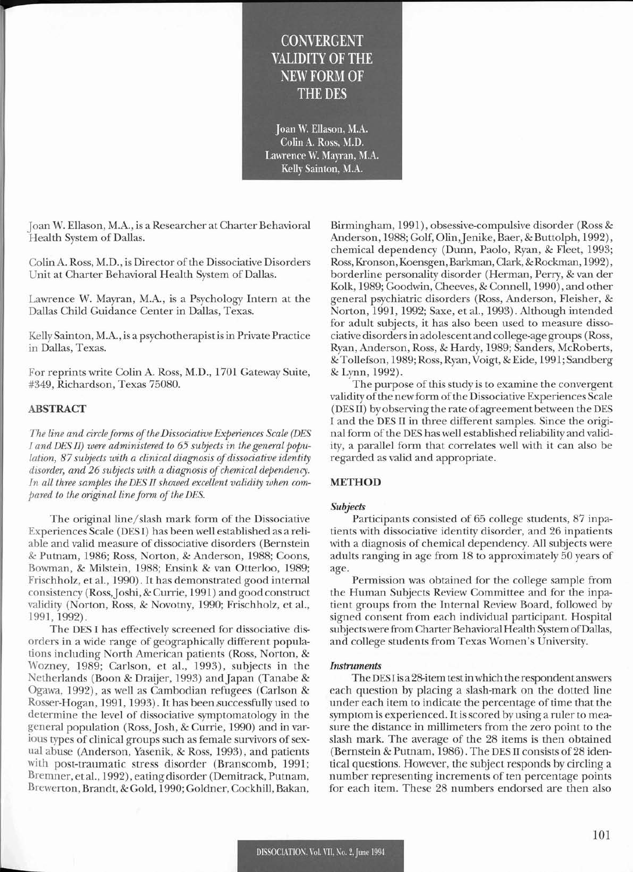## **CONVERGENT** VALIDITY OF THE NEW FORM OF THE DES

Joan W. ElIason, M.A. Colin A. Ross, M.D. Lawrence W. Mayran, M.A. Kelly Sainton, M.A.

joan W. Ellason, M.A., is a Researcher at Charter Behavioral Health System of Dallas.

Colin A. Ross, M.D., is Director of the Dissociative Disorders Unit at Charter Behavioral Health System of Dallas.

Lawrence W. Mayran, M.A., is a Psychology Intern at the Dallas Child Guidance Center in Dallas, Texas.

Kelly Sainton, M.A., is a psychotherapist isin Private Practice in Dallas, Texas.

For reprints write Colin A. Ross, M.D., 1701 Gateway Suite, #349, Richardson, Texas 75080.

## ABSTRACT

*The line and circleforms ofthe Dissociative Experiences Scale (DES I and DES II) were administered to* 65 *subjects in the general population,* 87 *subjects with a clinical diagnosis of dissociative identity disorder, and* 26 *subjects with a diagnosis ofchemical dependency. In all three samples the DES II showed excellent validity when com* $p$ ared to the original line form of the DES.

The original line/slash mark form of the Dissociative Experiences Scale (DES I) has been well established as a reliable and valid measure of dissociative disorders (Bernstein & Putnam, 1986; Ross, Norton, & Anderson, 1988; Coons, Bowman, & Milstein, 1988; Ensink & van Otterloo, 1989; Frischholz, et aI., 1990). It has demonstrated good internal consistency (Ross, Joshi, & Currie, 1991) and good construct validity (Norton, Ross, & Novotny, 1990; Frischholz, et aI., 1991,1992).

The DES I has effectively screened for dissociative disorders in a wide range of geographically different populations including North American patients (Ross, Norton, & Wozney, 1989; Carlson, et aI., 1993), subjects in the Netherlands (Boon & Draijer, 1993) and japan (Tanabe & Ogawa, 1992), as well as Cambodian refugees (Carlson & Rosser-Hogan, 1991, 1993). It has been successfully used to determine the level of dissociative symptomatology in the general population (Ross, Josh, & Currie, 1990) and in various types of clinical groups such as female survivors of sexual abuse (Anderson, Yasenik, & Ross, 1993), and patients with post-traumatic stress disorder (Branscomb, 1991; Bremner, et aI., 1992), eating disorder (Demitrack, Putnam, Brewerton, Brandt, & Gold, 1990; Goldner, Cockhill, Bakan,

Birmingham, 1991), obsessive-compulsive disorder (Ross & Anderson, 1988; Golf, Olin, Jenike, Baer, & Buttolph, 1992), chemical dependency (Dunn, Paolo, Ryan, & Fleet, 1993; Ross, Kronson, Koensgen, Barkman, Clark, & Rockman, 1992), borderline personality disorder (Herman, Perry, & van der Kolk, 1989; Goodwin, Cheeves, & Connell, 1990), and other general psychiatric disorders (Ross, Anderson, Fleisher, & Norton, 1991, 1992; Saxe, et aI., 1993). Although intended for adult subjects, it has also been used to measure dissociative disordersin adolescent and college-age groups (Ross, Ryan, Anderson, Ross, & Hardy, 1989; Sanders, McRoberts, & Tollefson, 1989; Ross, Ryan, Voigt, & Eide, 1991; Sandberg & Lynn, 1992).

The purpose of this study is to examine the convergent validity of the new form of the Dissociative Experiences Scale (DESII) by observing the rate of agreement between the DES I and the DES II in three different samples. Since the original form of the DES has well established reliability and validity, a parallel form that correlates well with it can also be regarded as valid and appropriate.

### METHOD

#### *Subjects*

Participants consisted of 65 college students, 87 inpatients with dissociative identity disorder, and 26 inpatients with a diagnosis of chemical dependency. All subjects were adults ranging in age from 18 to approximately 50 years of age.

Permission was obtained for the college sample from the Human Subjects Review Committee and for the inpatient groups from the Internal Review Board, followed by signed consent from each individual participant. Hospital subjects were from Charter Behavioral Health System of Dallas, and college students from Texas Women's University.

#### *Instruments*

The DESIis a 28-item testinwhich the respondentanswers each question by placing a slash-mark on the dotted line under each item to indicate the percentage of time that the symptom is experienced. Itis scored by using a ruler to measure the distance in millimeters from the zero point to the slash mark. The average of the 28 items is then obtained (Bernstein & Putnam, 1986). The DES II consists of 28 identical questions. However, the subject responds by circling a number representing increments of ten percentage points for each item. These 28 numbers endorsed are then also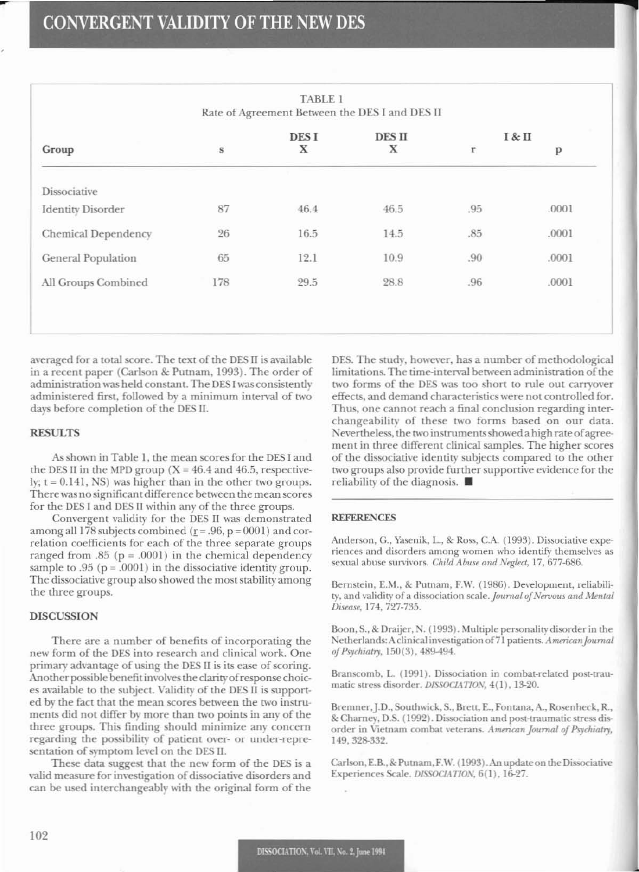| Group                    | $\bf S$     | <b>DESI</b><br>X | DES II<br>X | I & II |              |
|--------------------------|-------------|------------------|-------------|--------|--------------|
|                          |             |                  |             | r      | $\, {\bf p}$ |
| Dissociative             |             |                  |             |        |              |
| <b>Identity Disorder</b> | 87          | 46.4             | 46.5        | .95    | .0001        |
| Chemical Dependency      | $\sqrt{26}$ | 16.5             | 14.5        | .85    | .0001        |
| General Population       | 65          | 12.1             | 10.9        | .90    | .0001        |
| All Groups Combined      | 178         | 29.5             | 28.8        | .96    | .0001        |

averaged for a total score. The text of the DES II is available in a recent paper (Carlson & Putnam, 1993). The order of administration was held constant. The DESI was consistently administered first, followed by a minimum interval of two days before completion of the DES II.

#### **RESULTS**

As shown in Table 1, the mean scores for the DES I and the DES II in the MPD group ( $X = 46.4$  and 46.5, respectively;  $t = 0.141$ , NS) was higher than in the other two groups. There was no significant difference between the mean scores for the DES I and DES II within any of the three groups.

Convergent validity for the DES II was demonstrated among all 178 subjects combined ( $r = .96$ ,  $p = 0001$ ) and correlation coefficients for each of the three separate groups ranged from .85 ( $p = .0001$ ) in the chemical dependency sample to  $.95$  ( $p = .0001$ ) in the dissociative identity group. The dissociative group also showed the most stability among the three groups.

#### **DISCUSSION**

There are a number of benefits of incorporating the new form of the DES into research and clinical work. One primary advantage of using the DES II is its ease of scoring. Another possible benefit involves the clarity of response choices available to the subject. Validity of the DES II is supported by the fact that the mean scores between the two instruments did not differ by more than two points in any of the three groups. This finding should minimize any concern regarding the possibility of patient over- or under-representation of symptom level on the DES II.

These data suggest that the new form of the DES is a valid measure for investigation of dissociative disorders and can be used interchangeably with the original form of the

DES. The study, however, has a number of methodological limitations. The time-interval between administration of the two forms of the DES was too short to rule out carryover effects, and demand characteristics were not controlled for. Thus, one cannot reach a final conclusion regarding interchangeability of these two forms based on our data. Nevertheless, the two instruments showed a high rate of agreement in three different clinical samples. The higher scores of the dissociative identity subjects compared to the other two groups also provide further supportive evidence for the reliability of the diagnosis. ■

#### **REFERENCES**

Anderson, G., Yasenik, L., & Ross, C.A. (1993). Dissociative experiences and disorders among women who identify themselves as sexual abuse survivors. Child Abuse and Neglect, 17, 677-686.

Bernstein, E.M., & Putnam, F.W. (1986). Development, reliability, and validity of a dissociation scale. Journal of Nervous and Mental Disease, 174, 727-735.

Boon, S., & Draijer, N. (1993). Multiple personality disorder in the Netherlands: A clinical investigation of 71 patients. American Journal of Psychiatry, 150(3), 489-494.

Branscomb, L. (1991). Dissociation in combat-related post-traumatic stress disorder. DISSOCIATION, 4(1), 13-20.

Bremner, J.D., Southwick, S., Brett, E., Fontana, A., Rosenheck, R., & Charney, D.S. (1992). Dissociation and post-traumatic stress disorder in Vietnam combat veterans. American Journal of Psychiatry, 149, 328-332.

Carlson, E.B., & Putnam, F.W. (1993). An update on the Dissociative Experiences Scale. DISSOCIATION, 6(1), 16-27.